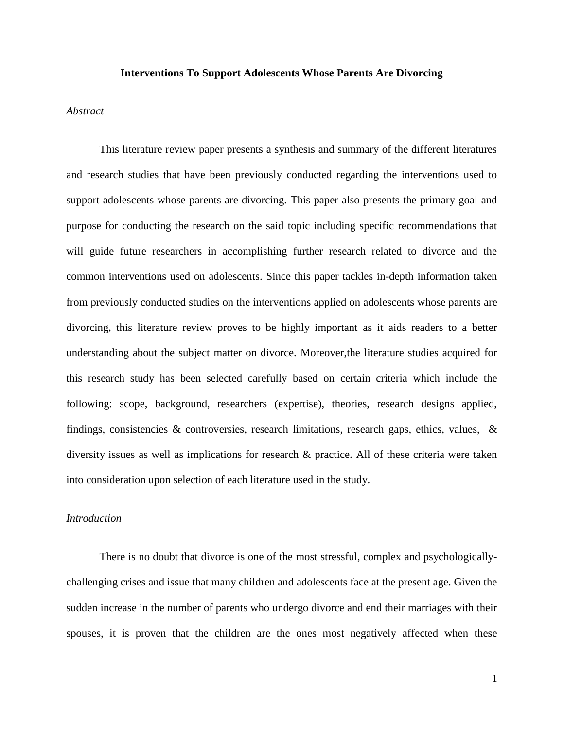#### **Interventions To Support Adolescents Whose Parents Are Divorcing**

## *Abstract*

This literature review paper presents a synthesis and summary of the different literatures and research studies that have been previously conducted regarding the interventions used to support adolescents whose parents are divorcing. This paper also presents the primary goal and purpose for conducting the research on the said topic including specific recommendations that will guide future researchers in accomplishing further research related to divorce and the common interventions used on adolescents. Since this paper tackles in-depth information taken from previously conducted studies on the interventions applied on adolescents whose parents are divorcing, this literature review proves to be highly important as it aids readers to a better understanding about the subject matter on divorce. Moreover,the literature studies acquired for this research study has been selected carefully based on certain criteria which include the following: scope, background, researchers (expertise), theories, research designs applied, findings, consistencies & controversies, research limitations, research gaps, ethics, values, & diversity issues as well as implications for research & practice. All of these criteria were taken into consideration upon selection of each literature used in the study.

## *Introduction*

There is no doubt that divorce is one of the most stressful, complex and psychologicallychallenging crises and issue that many children and adolescents face at the present age. Given the sudden increase in the number of parents who undergo divorce and end their marriages with their spouses, it is proven that the children are the ones most negatively affected when these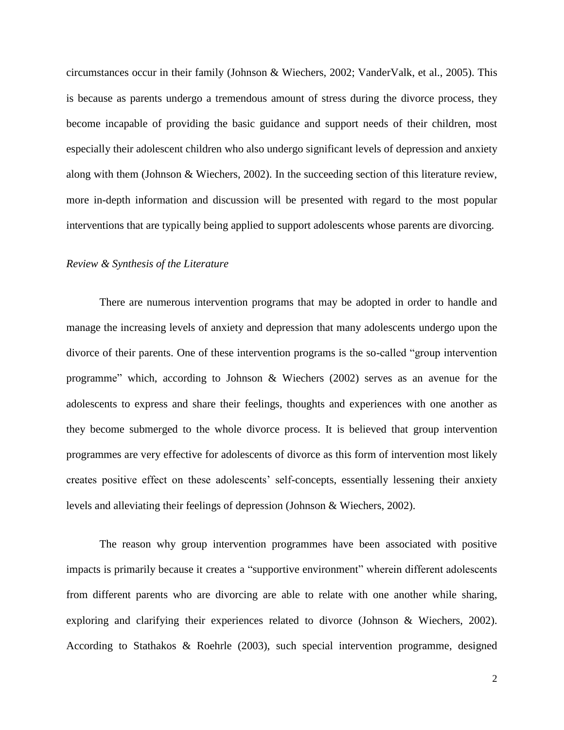circumstances occur in their family (Johnson & Wiechers, 2002; VanderValk, et al., 2005). This is because as parents undergo a tremendous amount of stress during the divorce process, they become incapable of providing the basic guidance and support needs of their children, most especially their adolescent children who also undergo significant levels of depression and anxiety along with them (Johnson & Wiechers, 2002). In the succeeding section of this literature review, more in-depth information and discussion will be presented with regard to the most popular interventions that are typically being applied to support adolescents whose parents are divorcing.

## *Review & Synthesis of the Literature*

There are numerous intervention programs that may be adopted in order to handle and manage the increasing levels of anxiety and depression that many adolescents undergo upon the divorce of their parents. One of these intervention programs is the so-called "group intervention programme" which, according to Johnson & Wiechers (2002) serves as an avenue for the adolescents to express and share their feelings, thoughts and experiences with one another as they become submerged to the whole divorce process. It is believed that group intervention programmes are very effective for adolescents of divorce as this form of intervention most likely creates positive effect on these adolescents' self-concepts, essentially lessening their anxiety levels and alleviating their feelings of depression (Johnson & Wiechers, 2002).

The reason why group intervention programmes have been associated with positive impacts is primarily because it creates a "supportive environment" wherein different adolescents from different parents who are divorcing are able to relate with one another while sharing, exploring and clarifying their experiences related to divorce (Johnson & Wiechers, 2002). According to Stathakos & Roehrle (2003), such special intervention programme, designed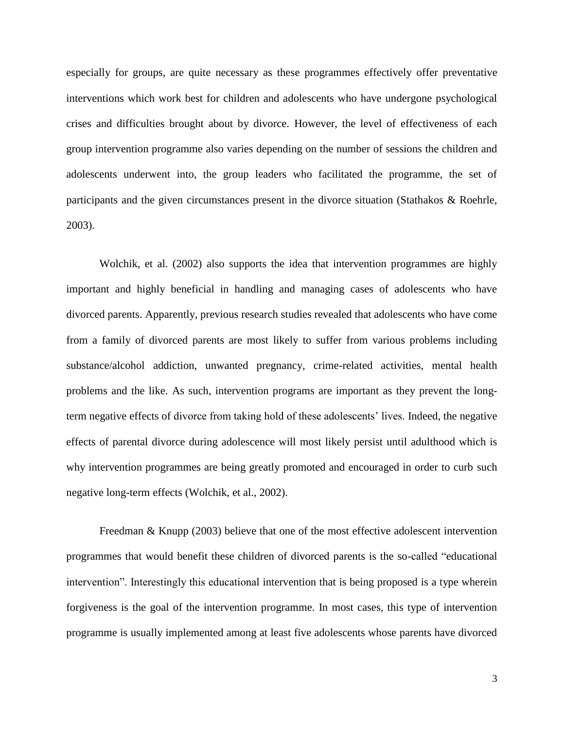especially for groups, are quite necessary as these programmes effectively offer preventative interventions which work best for children and adolescents who have undergone psychological crises and difficulties brought about by divorce. However, the level of effectiveness of each group intervention programme also varies depending on the number of sessions the children and adolescents underwent into, the group leaders who facilitated the programme, the set of participants and the given circumstances present in the divorce situation (Stathakos & Roehrle, 2003).

Wolchik, et al. (2002) also supports the idea that intervention programmes are highly important and highly beneficial in handling and managing cases of adolescents who have divorced parents. Apparently, previous research studies revealed that adolescents who have come from a family of divorced parents are most likely to suffer from various problems including substance/alcohol addiction, unwanted pregnancy, crime-related activities, mental health problems and the like. As such, intervention programs are important as they prevent the longterm negative effects of divorce from taking hold of these adolescents' lives. Indeed, the negative effects of parental divorce during adolescence will most likely persist until adulthood which is why intervention programmes are being greatly promoted and encouraged in order to curb such negative long-term effects (Wolchik, et al., 2002).

Freedman & Knupp (2003) believe that one of the most effective adolescent intervention programmes that would benefit these children of divorced parents is the so-called "educational intervention". Interestingly this educational intervention that is being proposed is a type wherein forgiveness is the goal of the intervention programme. In most cases, this type of intervention programme is usually implemented among at least five adolescents whose parents have divorced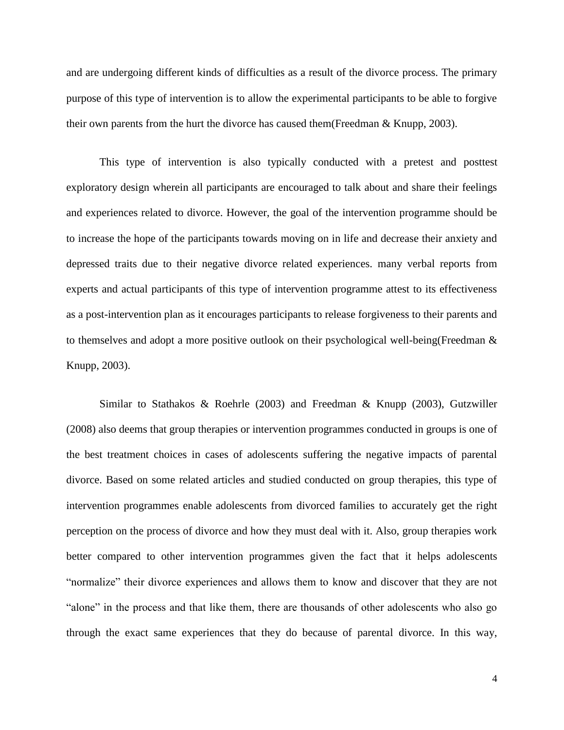and are undergoing different kinds of difficulties as a result of the divorce process. The primary purpose of this type of intervention is to allow the experimental participants to be able to forgive their own parents from the hurt the divorce has caused them(Freedman & Knupp, 2003).

This type of intervention is also typically conducted with a pretest and posttest exploratory design wherein all participants are encouraged to talk about and share their feelings and experiences related to divorce. However, the goal of the intervention programme should be to increase the hope of the participants towards moving on in life and decrease their anxiety and depressed traits due to their negative divorce related experiences. many verbal reports from experts and actual participants of this type of intervention programme attest to its effectiveness as a post-intervention plan as it encourages participants to release forgiveness to their parents and to themselves and adopt a more positive outlook on their psychological well-being(Freedman & Knupp, 2003).

Similar to Stathakos & Roehrle (2003) and Freedman & Knupp (2003), Gutzwiller (2008) also deems that group therapies or intervention programmes conducted in groups is one of the best treatment choices in cases of adolescents suffering the negative impacts of parental divorce. Based on some related articles and studied conducted on group therapies, this type of intervention programmes enable adolescents from divorced families to accurately get the right perception on the process of divorce and how they must deal with it. Also, group therapies work better compared to other intervention programmes given the fact that it helps adolescents "normalize" their divorce experiences and allows them to know and discover that they are not "alone" in the process and that like them, there are thousands of other adolescents who also go through the exact same experiences that they do because of parental divorce. In this way,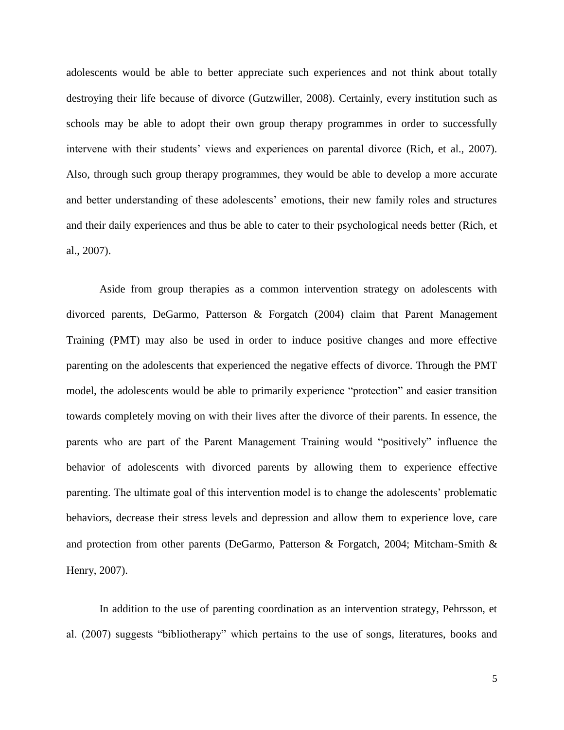adolescents would be able to better appreciate such experiences and not think about totally destroying their life because of divorce (Gutzwiller, 2008). Certainly, every institution such as schools may be able to adopt their own group therapy programmes in order to successfully intervene with their students' views and experiences on parental divorce (Rich, et al., 2007). Also, through such group therapy programmes, they would be able to develop a more accurate and better understanding of these adolescents' emotions, their new family roles and structures and their daily experiences and thus be able to cater to their psychological needs better (Rich, et al., 2007).

Aside from group therapies as a common intervention strategy on adolescents with divorced parents, DeGarmo, Patterson & Forgatch (2004) claim that Parent Management Training (PMT) may also be used in order to induce positive changes and more effective parenting on the adolescents that experienced the negative effects of divorce. Through the PMT model, the adolescents would be able to primarily experience "protection" and easier transition towards completely moving on with their lives after the divorce of their parents. In essence, the parents who are part of the Parent Management Training would "positively" influence the behavior of adolescents with divorced parents by allowing them to experience effective parenting. The ultimate goal of this intervention model is to change the adolescents' problematic behaviors, decrease their stress levels and depression and allow them to experience love, care and protection from other parents (DeGarmo, Patterson & Forgatch, 2004; Mitcham‐Smith & Henry, 2007).

In addition to the use of parenting coordination as an intervention strategy, Pehrsson, et al. (2007) suggests "bibliotherapy" which pertains to the use of songs, literatures, books and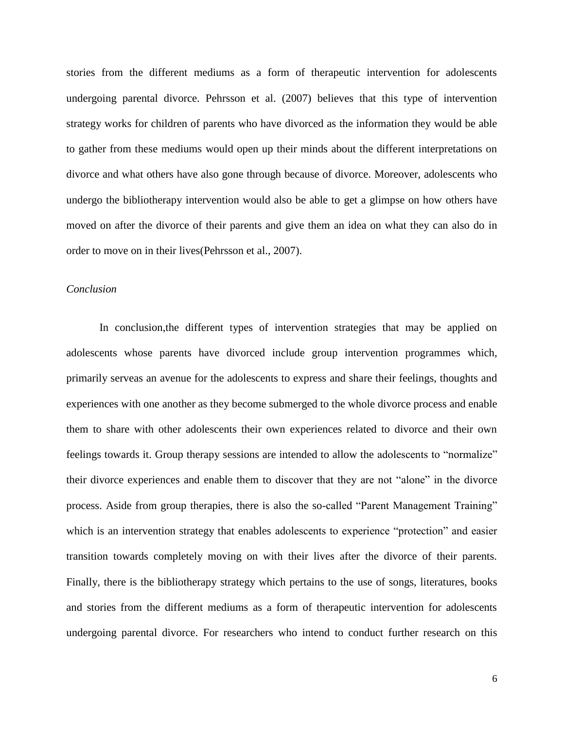stories from the different mediums as a form of therapeutic intervention for adolescents undergoing parental divorce. Pehrsson et al. (2007) believes that this type of intervention strategy works for children of parents who have divorced as the information they would be able to gather from these mediums would open up their minds about the different interpretations on divorce and what others have also gone through because of divorce. Moreover, adolescents who undergo the bibliotherapy intervention would also be able to get a glimpse on how others have moved on after the divorce of their parents and give them an idea on what they can also do in order to move on in their lives(Pehrsson et al., 2007).

#### *Conclusion*

In conclusion,the different types of intervention strategies that may be applied on adolescents whose parents have divorced include group intervention programmes which, primarily serveas an avenue for the adolescents to express and share their feelings, thoughts and experiences with one another as they become submerged to the whole divorce process and enable them to share with other adolescents their own experiences related to divorce and their own feelings towards it. Group therapy sessions are intended to allow the adolescents to "normalize" their divorce experiences and enable them to discover that they are not "alone" in the divorce process. Aside from group therapies, there is also the so-called "Parent Management Training" which is an intervention strategy that enables adolescents to experience "protection" and easier transition towards completely moving on with their lives after the divorce of their parents. Finally, there is the bibliotherapy strategy which pertains to the use of songs, literatures, books and stories from the different mediums as a form of therapeutic intervention for adolescents undergoing parental divorce. For researchers who intend to conduct further research on this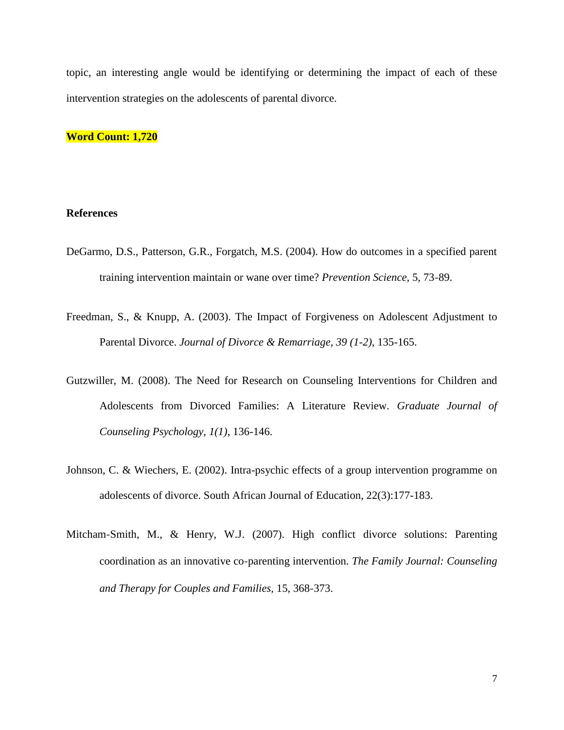topic, an interesting angle would be identifying or determining the impact of each of these intervention strategies on the adolescents of parental divorce.

**Word Count: 1,720**

# **References**

- DeGarmo, D.S., Patterson, G.R., Forgatch, M.S. (2004). How do outcomes in a specified parent training intervention maintain or wane over time? *Prevention Science,* 5, 73‐89.
- Freedman, S., & Knupp, A. (2003). The Impact of Forgiveness on Adolescent Adjustment to Parental Divorce. *Journal of Divorce & Remarriage, 39 (1-2)*, 135-165.
- Gutzwiller, M. (2008). The Need for Research on Counseling Interventions for Children and Adolescents from Divorced Families: A Literature Review. *Graduate Journal of Counseling Psychology, 1(1)*, 136-146.
- Johnson, C. & Wiechers, E. (2002). Intra-psychic effects of a group intervention programme on adolescents of divorce. South African Journal of Education, 22(3):177-183.
- Mitcham‐Smith, M., & Henry, W.J. (2007). High conflict divorce solutions: Parenting coordination as an innovative co‐parenting intervention. *The Family Journal: Counseling and Therapy for Couples and Families,* 15, 368‐373.